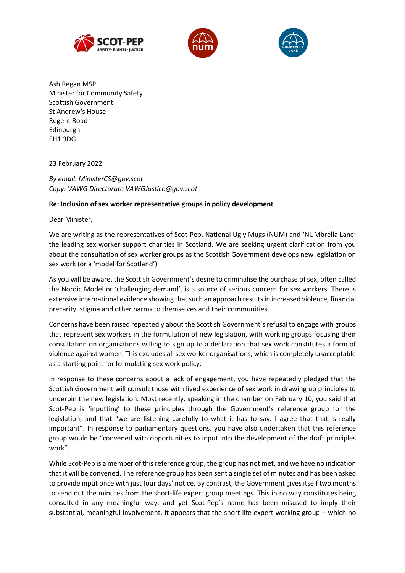





Ash Regan MSP Minister for Community Safety **Scottish Government** St Andrew's House **Regent Road** Edinburgh **EH1 3DG** 

23 February 2022

By email: MinisterCS@gov.scot Copy: VAWG Directorate VAWGJustice@gov.scot

## Re: Inclusion of sex worker representative groups in policy development

Dear Minister,

We are writing as the representatives of Scot-Pep, National Ugly Mugs (NUM) and 'NUMbrella Lane' the leading sex worker support charities in Scotland. We are seeking urgent clarification from you about the consultation of sex worker groups as the Scottish Government develops new legislation on sex work (or a 'model for Scotland').

As you will be aware, the Scottish Government's desire to criminalise the purchase of sex, often called the Nordic Model or 'challenging demand', is a source of serious concern for sex workers. There is extensive international evidence showing that such an approach results in increased violence, financial precarity, stigma and other harms to themselves and their communities.

Concerns have been raised repeatedly about the Scottish Government's refusal to engage with groups that represent sex workers in the formulation of new legislation, with working groups focusing their consultation on organisations willing to sign up to a declaration that sex work constitutes a form of violence against women. This excludes all sex worker organisations, which is completely unacceptable as a starting point for formulating sex work policy.

In response to these concerns about a lack of engagement, you have repeatedly pledged that the Scottish Government will consult those with lived experience of sex work in drawing up principles to underpin the new legislation. Most recently, speaking in the chamber on February 10, you said that Scot-Pep is 'inputting' to these principles through the Government's reference group for the legislation, and that "we are listening carefully to what it has to say. I agree that that is really important". In response to parliamentary questions, you have also undertaken that this reference group would be "convened with opportunities to input into the development of the draft principles work".

While Scot-Pep is a member of this reference group, the group has not met, and we have no indication that it will be convened. The reference group has been sent a single set of minutes and has been asked to provide input once with just four days' notice. By contrast, the Government gives itself two months to send out the minutes from the short-life expert group meetings. This in no way constitutes being consulted in any meaningful way, and yet Scot-Pep's name has been misused to imply their substantial, meaningful involvement. It appears that the short life expert working group - which no